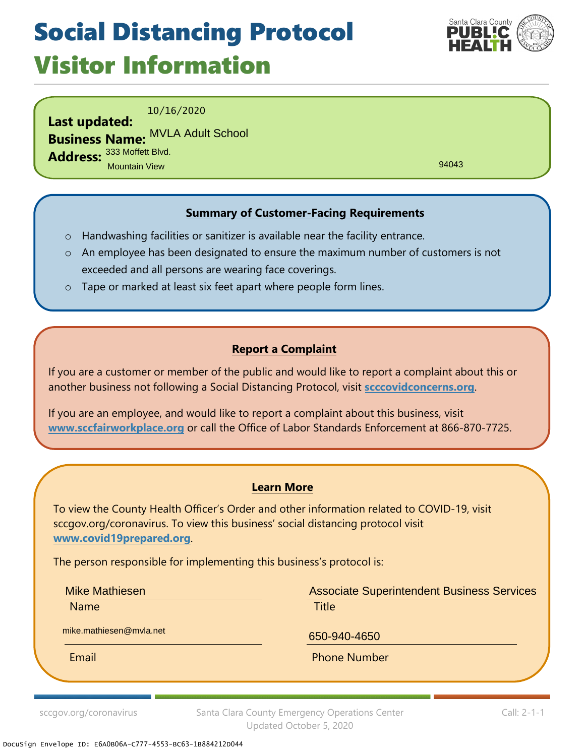## Social Distancing Protocol Visitor Information



10/16/2020

**Last updated: Business Name:** MVLA Adult School Address: 333 Moffett Blvd. Mountain View

94043

### **Summary of Customer-Facing Requirements**

- o Handwashing facilities or sanitizer is available near the facility entrance.
- o An employee has been designated to ensure the maximum number of customers is not exceeded and all persons are wearing face coverings.
- o Tape or marked at least six feet apart where people form lines.

#### **Report a Complaint**

If you are a customer or member of the public and would like to report a complaint about this or another business not following a Social Distancing Protocol, visit **scccovidconcerns.org**.

If you are an employee, and would like to report a complaint about this business, visit **www.sccfairworkplace.org** or call the Office of Labor Standards Enforcement at 866-870-7725.

#### **Learn More**

To view the County Health Officer's Order and other information related to COVID-19, visit sccgov.org/coronavirus. To view this business' social distancing protocol visit **www.covid19prepared.org**.

The person responsible for implementing this business's protocol is:

Mike Mathiesen

Name **Name is a structure of the Contract Contract Contract Contract Contract Contract Contract Contract Contra** 

Associate Superintendent Business Services

650-940-4650 mike.mathiesen@mvla.net

Email **Email** Phone Number

sccgov.org/coronavirus Santa Clara County Emergency Operations Center Updated October 5, 2020